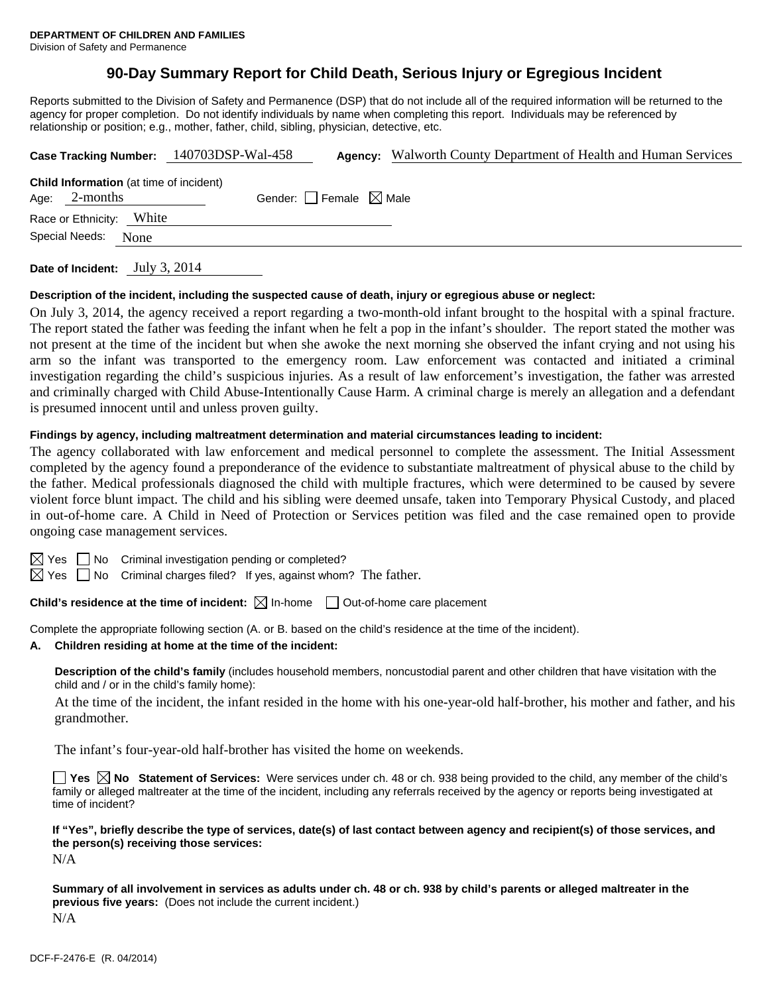## **90-Day Summary Report for Child Death, Serious Injury or Egregious Incident**

Reports submitted to the Division of Safety and Permanence (DSP) that do not include all of the required information will be returned to the agency for proper completion. Do not identify individuals by name when completing this report. Individuals may be referenced by relationship or position; e.g., mother, father, child, sibling, physician, detective, etc.

|                          |                                                | Case Tracking Number: 140703DSP-Wal-458 | <b>Agency:</b> Walworth County Department of Health and Human Services |
|--------------------------|------------------------------------------------|-----------------------------------------|------------------------------------------------------------------------|
| Age: $2$ -months         | <b>Child Information</b> (at time of incident) | Gender: Female $\boxtimes$ Male         |                                                                        |
| Race or Ethnicity: White |                                                |                                         |                                                                        |
| Special Needs:           | None                                           |                                         |                                                                        |
|                          |                                                |                                         |                                                                        |

**Date of Incident:** July 3, 2014

#### **Description of the incident, including the suspected cause of death, injury or egregious abuse or neglect:**

On July 3, 2014, the agency received a report regarding a two-month-old infant brought to the hospital with a spinal fracture. The report stated the father was feeding the infant when he felt a pop in the infant's shoulder. The report stated the mother was not present at the time of the incident but when she awoke the next morning she observed the infant crying and not using his arm so the infant was transported to the emergency room. Law enforcement was contacted and initiated a criminal investigation regarding the child's suspicious injuries. As a result of law enforcement's investigation, the father was arrested and criminally charged with Child Abuse-Intentionally Cause Harm. A criminal charge is merely an allegation and a defendant is presumed innocent until and unless proven guilty.

#### **Findings by agency, including maltreatment determination and material circumstances leading to incident:**

The agency collaborated with law enforcement and medical personnel to complete the assessment. The Initial Assessment completed by the agency found a preponderance of the evidence to substantiate maltreatment of physical abuse to the child by the father. Medical professionals diagnosed the child with multiple fractures, which were determined to be caused by severe violent force blunt impact. The child and his sibling were deemed unsafe, taken into Temporary Physical Custody, and placed in out-of-home care. A Child in Need of Protection or Services petition was filed and the case remained open to provide ongoing case management services.

 $\boxtimes$  Yes  $\Box$  No Criminal investigation pending or completed?

 $\boxtimes$  Yes  $\Box$  No Criminal charges filed? If yes, against whom? The father.

**Child's residence at the time of incident:**  $\boxtimes$  In-home  $\Box$  Out-of-home care placement

Complete the appropriate following section (A. or B. based on the child's residence at the time of the incident).

#### **A. Children residing at home at the time of the incident:**

**Description of the child's family** (includes household members, noncustodial parent and other children that have visitation with the child and / or in the child's family home):

 At the time of the incident, the infant resided in the home with his one-year-old half-brother, his mother and father, and his grandmother.

The infant's four-year-old half-brother has visited the home on weekends.

**Yes**  $\boxtimes$  **No** Statement of Services: Were services under ch. 48 or ch. 938 being provided to the child, any member of the child's family or alleged maltreater at the time of the incident, including any referrals received by the agency or reports being investigated at time of incident?

**If "Yes", briefly describe the type of services, date(s) of last contact between agency and recipient(s) of those services, and the person(s) receiving those services:** 

N/A

**Summary of all involvement in services as adults under ch. 48 or ch. 938 by child's parents or alleged maltreater in the previous five years:** (Does not include the current incident.) N/A